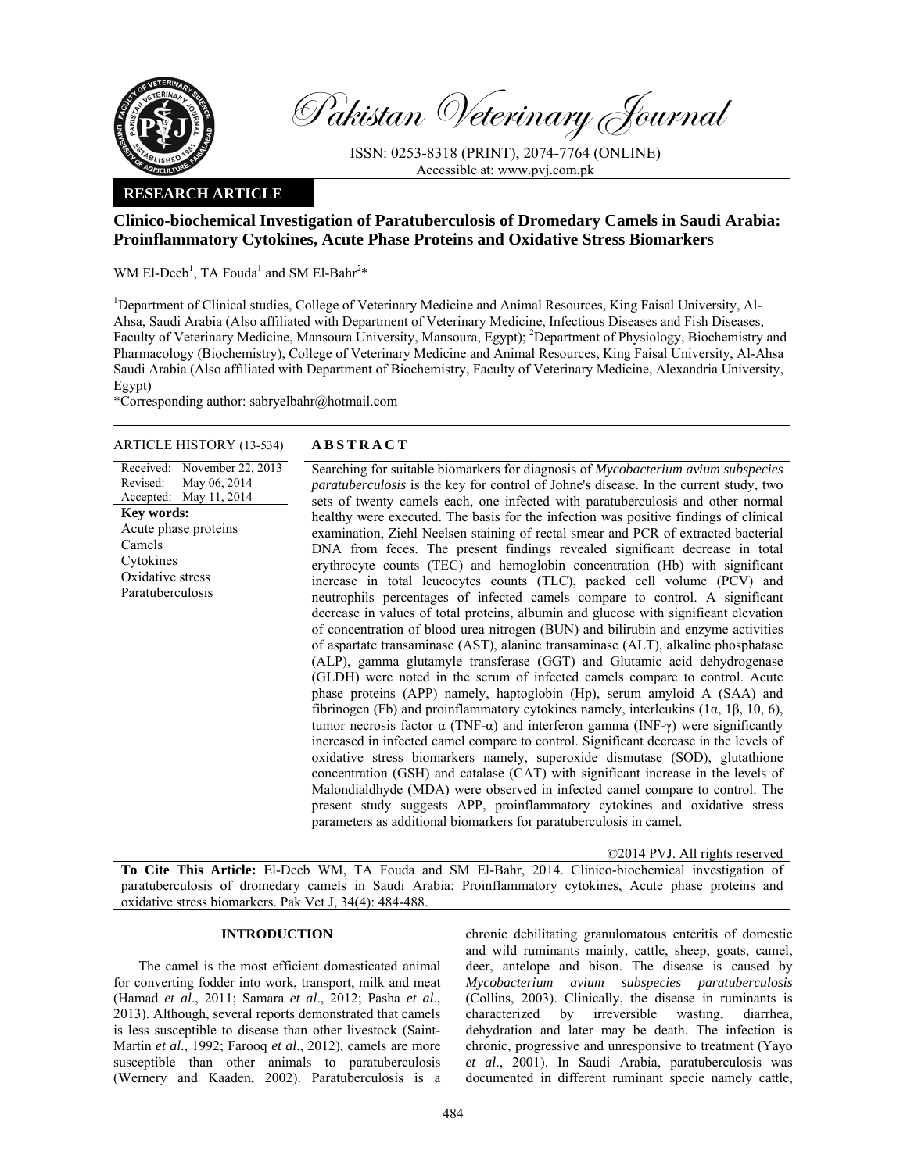

Pakistan Veterinary Journal

ISSN: 0253-8318 (PRINT), 2074-7764 (ONLINE) Accessible at: www.pvj.com.pk

# **RESEARCH ARTICLE**

# **Clinico-biochemical Investigation of Paratuberculosis of Dromedary Camels in Saudi Arabia: Proinflammatory Cytokines, Acute Phase Proteins and Oxidative Stress Biomarkers**

WM El-Deeb<sup>1</sup>, TA Fouda<sup>1</sup> and SM El-Bahr<sup>2\*</sup>

<sup>1</sup>Department of Clinical studies, College of Veterinary Medicine and Animal Resources, King Faisal University, Al-Ahsa, Saudi Arabia (Also affiliated with Department of Veterinary Medicine, Infectious Diseases and Fish Diseases, Faculty of Veterinary Medicine, Mansoura University, Mansoura, Egypt); <sup>2</sup>Department of Physiology, Biochemistry and Pharmacology (Biochemistry), College of Veterinary Medicine and Animal Resources, King Faisal University, Al-Ahsa Saudi Arabia (Also affiliated with Department of Biochemistry, Faculty of Veterinary Medicine, Alexandria University, Egypt)

\*Corresponding author: sabryelbahr@hotmail.com

# ARTICLE HISTORY (13-534) **ABSTRACT**

Received: Revised: Accepted: November 22, 2013 May 06, 2014 May 11, 2014 **Key words:**  Acute phase proteins Camels Cytokines Oxidative stress Paratuberculosis

 Searching for suitable biomarkers for diagnosis of *Mycobacterium avium subspecies paratuberculosis* is the key for control of Johne's disease. In the current study, two sets of twenty camels each, one infected with paratuberculosis and other normal healthy were executed. The basis for the infection was positive findings of clinical examination, Ziehl Neelsen staining of rectal smear and PCR of extracted bacterial DNA from feces. The present findings revealed significant decrease in total erythrocyte counts (TEC) and hemoglobin concentration (Hb) with significant increase in total leucocytes counts (TLC), packed cell volume (PCV) and neutrophils percentages of infected camels compare to control. A significant decrease in values of total proteins, albumin and glucose with significant elevation of concentration of blood urea nitrogen (BUN) and bilirubin and enzyme activities of aspartate transaminase (AST), alanine transaminase (ALT), alkaline phosphatase (ALP), gamma glutamyle transferase (GGT) and Glutamic acid dehydrogenase (GLDH) were noted in the serum of infected camels compare to control. Acute phase proteins (APP) namely, haptoglobin (Hp), serum amyloid A (SAA) and fibrinogen (Fb) and proinflammatory cytokines namely, interleukins (1α, 1β, 10, 6), tumor necrosis factor α (TNF-α) and interferon gamma (INF-γ) were significantly increased in infected camel compare to control. Significant decrease in the levels of oxidative stress biomarkers namely, superoxide dismutase (SOD), glutathione concentration (GSH) and catalase (CAT) with significant increase in the levels of Malondialdhyde (MDA) were observed in infected camel compare to control. The present study suggests APP, proinflammatory cytokines and oxidative stress parameters as additional biomarkers for paratuberculosis in camel.

©2014 PVJ. All rights reserved

**To Cite This Article:** El-Deeb WM, TA Fouda and SM El-Bahr, 2014. Clinico-biochemical investigation of paratuberculosis of dromedary camels in Saudi Arabia: Proinflammatory cytokines, Acute phase proteins and oxidative stress biomarkers. Pak Vet J, 34(4): 484-488.

# **INTRODUCTION**

The camel is the most efficient domesticated animal for converting fodder into work, transport, milk and meat (Hamad *et al*., 2011; Samara *et al*., 2012; Pasha *et al*., 2013). Although, several reports demonstrated that camels is less susceptible to disease than other livestock (Saint-Martin *et al*., 1992; Farooq *et al*., 2012), camels are more susceptible than other animals to paratuberculosis (Wernery and Kaaden, 2002). Paratuberculosis is a

chronic debilitating granulomatous enteritis of domestic and wild ruminants mainly, cattle, sheep, goats, camel, deer, antelope and bison. The disease is caused by *Mycobacterium avium subspecies paratuberculosis* (Collins, 2003). Clinically, the disease in ruminants is characterized by irreversible wasting, diarrhea, dehydration and later may be death. The infection is chronic, progressive and unresponsive to treatment (Yayo *et al*., 2001). In Saudi Arabia, paratuberculosis was documented in different ruminant specie namely cattle,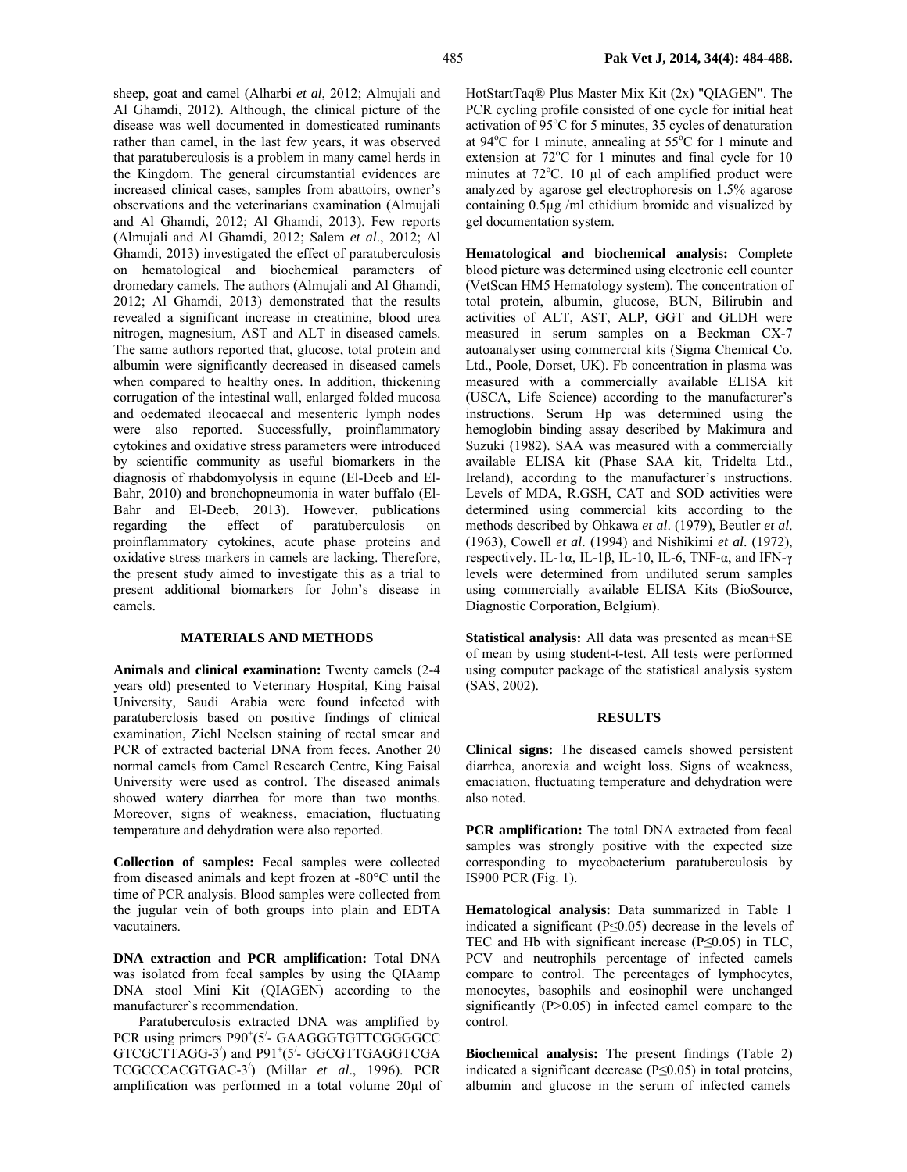sheep, goat and camel (Alharbi *et al*, 2012; Almujali and Al Ghamdi, 2012). Although, the clinical picture of the disease was well documented in domesticated ruminants rather than camel, in the last few years, it was observed that paratuberculosis is a problem in many camel herds in the Kingdom. The general circumstantial evidences are increased clinical cases, samples from abattoirs, owner's observations and the veterinarians examination (Almujali and Al Ghamdi, 2012; Al Ghamdi, 2013). Few reports (Almujali and Al Ghamdi, 2012; Salem *et al*., 2012; Al Ghamdi, 2013) investigated the effect of paratuberculosis on hematological and biochemical parameters of dromedary camels. The authors (Almujali and Al Ghamdi, 2012; Al Ghamdi, 2013) demonstrated that the results revealed a significant increase in creatinine, blood urea nitrogen, magnesium, AST and ALT in diseased camels. The same authors reported that, glucose, total protein and albumin were significantly decreased in diseased camels when compared to healthy ones. In addition, thickening corrugation of the intestinal wall, enlarged folded mucosa and oedemated ileocaecal and mesenteric lymph nodes were also reported. Successfully, proinflammatory cytokines and oxidative stress parameters were introduced by scientific community as useful biomarkers in the diagnosis of rhabdomyolysis in equine (El-Deeb and El-Bahr, 2010) and bronchopneumonia in water buffalo (El-Bahr and El-Deeb, 2013). However, publications regarding the effect of paratuberculosis on proinflammatory cytokines, acute phase proteins and oxidative stress markers in camels are lacking. Therefore, the present study aimed to investigate this as a trial to present additional biomarkers for John's disease in camels.

# **MATERIALS AND METHODS**

**Animals and clinical examination:** Twenty camels (2-4 years old) presented to Veterinary Hospital, King Faisal University, Saudi Arabia were found infected with paratuberclosis based on positive findings of clinical examination, Ziehl Neelsen staining of rectal smear and PCR of extracted bacterial DNA from feces. Another 20 normal camels from Camel Research Centre, King Faisal University were used as control. The diseased animals showed watery diarrhea for more than two months. Moreover, signs of weakness, emaciation, fluctuating temperature and dehydration were also reported.

**Collection of samples:** Fecal samples were collected from diseased animals and kept frozen at -80°C until the time of PCR analysis. Blood samples were collected from the jugular vein of both groups into plain and EDTA vacutainers.

**DNA extraction and PCR amplification:** Total DNA was isolated from fecal samples by using the QIAamp DNA stool Mini Kit (QIAGEN) according to the manufacturer`s recommendation.

Paratuberculosis extracted DNA was amplified by PCR using primers P90<sup>+</sup>(5<sup>'</sup>- GAAGGGTGTTCGGGGCC GTCGCTTAGG-3<sup>'</sup>) and P91<sup>+</sup>(5<sup>'</sup>- GGCGTTGAGGTCGA TCGCCCACGTGAC-3/ ) (Millar *et al*., 1996). PCR amplification was performed in a total volume 20µl of HotStartTaq® Plus Master Mix Kit (2x) "QIAGEN". The PCR cycling profile consisted of one cycle for initial heat activation of  $95^{\circ}$ C for 5 minutes, 35 cycles of denaturation at 94 $\rm{°C}$  for 1 minute, annealing at 55 $\rm{°C}$  for 1 minute and extension at 72°C for 1 minutes and final cycle for 10 minutes at  $72^{\circ}$ C. 10 µl of each amplified product were analyzed by agarose gel electrophoresis on 1.5% agarose containing 0.5µg /ml ethidium bromide and visualized by gel documentation system.

**Hematological and biochemical analysis:** Complete blood picture was determined using electronic cell counter (VetScan HM5 Hematology system). The concentration of total protein, albumin, glucose, BUN, Bilirubin and activities of ALT, AST, ALP, GGT and GLDH were measured in serum samples on a Beckman CX-7 autoanalyser using commercial kits (Sigma Chemical Co. Ltd., Poole, Dorset, UK). Fb concentration in plasma was measured with a commercially available ELISA kit (USCA, Life Science) according to the manufacturer's instructions. Serum Hp was determined using the hemoglobin binding assay described by Makimura and Suzuki (1982). SAA was measured with a commercially available ELISA kit (Phase SAA kit, Tridelta Ltd., Ireland), according to the manufacturer's instructions. Levels of MDA, R.GSH, CAT and SOD activities were determined using commercial kits according to the methods described by Ohkawa *et al*. (1979), Beutler *et al*. (1963), Cowell *et al*. (1994) and Nishikimi *et al*. (1972), respectively. IL-1α, IL-1β, IL-10, IL-6, TNF-α, and IFN- $γ$ levels were determined from undiluted serum samples using commercially available ELISA Kits (BioSource, Diagnostic Corporation, Belgium).

**Statistical analysis:** All data was presented as mean±SE of mean by using student*-*t*-*test. All tests were performed using computer package of the statistical analysis system (SAS, 2002).

#### **RESULTS**

**Clinical signs:** The diseased camels showed persistent diarrhea, anorexia and weight loss. Signs of weakness, emaciation, fluctuating temperature and dehydration were also noted.

**PCR amplification:** The total DNA extracted from fecal samples was strongly positive with the expected size corresponding to mycobacterium paratuberculosis by IS900 PCR (Fig. 1).

**Hematological analysis:** Data summarized in Table 1 indicated a significant (P≤0.05) decrease in the levels of TEC and Hb with significant increase (P≤0.05) in TLC, PCV and neutrophils percentage of infected camels compare to control. The percentages of lymphocytes, monocytes, basophils and eosinophil were unchanged significantly  $(P>0.05)$  in infected camel compare to the control.

**Biochemical analysis:** The present findings (Table 2) indicated a significant decrease  $(P \le 0.05)$  in total proteins, albumin and glucose in the serum of infected camels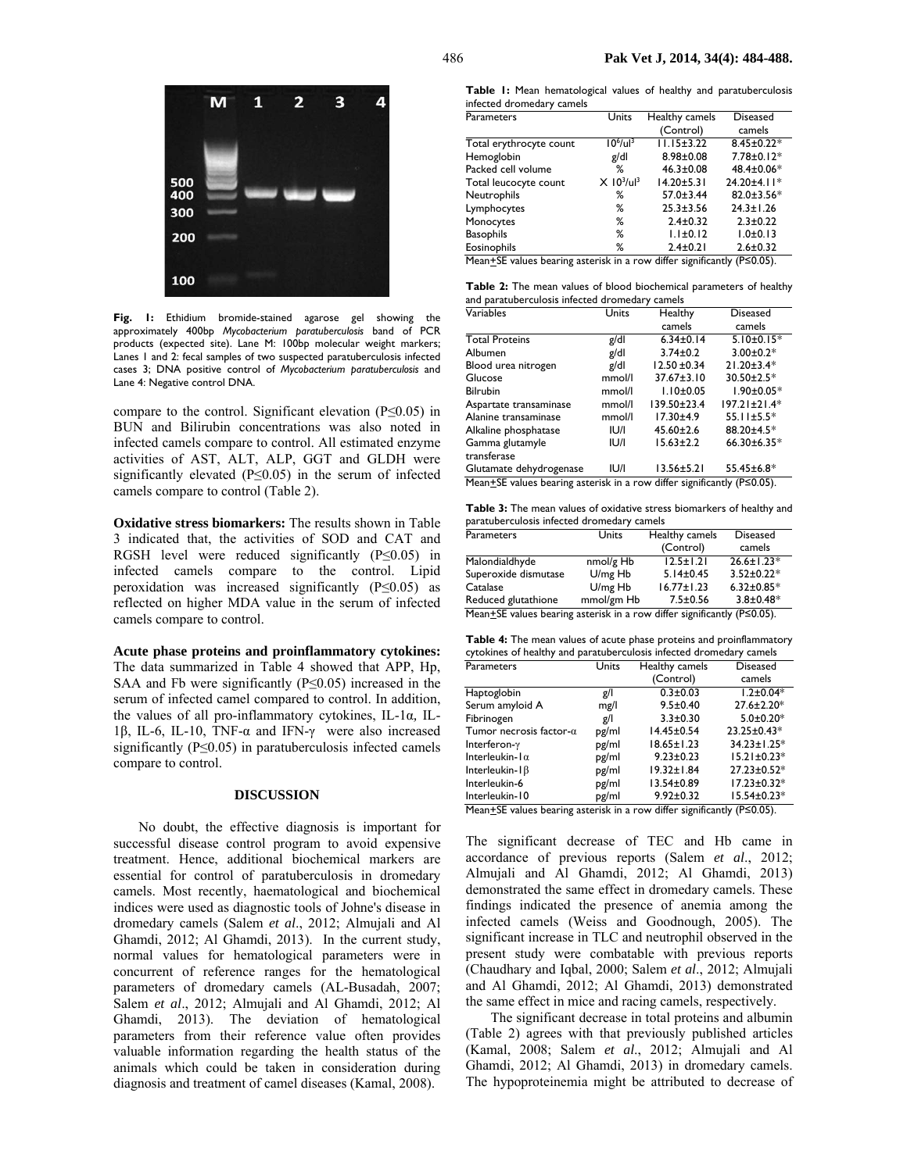

**Fig. 1:** Ethidium bromide-stained agarose gel showing the approximately 400bp *Mycobacterium paratuberculosis* band of PCR products (expected site). Lane M: 100bp molecular weight markers; Lanes 1 and 2: fecal samples of two suspected paratuberculosis infected cases 3; DNA positive control of *Mycobacterium paratuberculosis* and Lane 4: Negative control DNA.

compare to the control. Significant elevation ( $P \le 0.05$ ) in BUN and Bilirubin concentrations was also noted in infected camels compare to control. All estimated enzyme activities of AST, ALT, ALP, GGT and GLDH were significantly elevated (P≤0.05) in the serum of infected camels compare to control (Table 2).

**Oxidative stress biomarkers:** The results shown in Table 3 indicated that, the activities of SOD and CAT and RGSH level were reduced significantly (P≤0.05) in infected camels compare to the control. Lipid peroxidation was increased significantly (P≤0.05) as reflected on higher MDA value in the serum of infected camels compare to control.

**Acute phase proteins and proinflammatory cytokines:**  The data summarized in Table 4 showed that APP, Hp, SAA and Fb were significantly  $(P \le 0.05)$  increased in the serum of infected camel compared to control. In addition, the values of all pro-inflammatory cytokines, IL-1α*,* IL-1β, IL-6, IL-10, TNF-α and IFN-γ were also increased significantly  $(P \le 0.05)$  in paratuberculosis infected camels compare to control.

### **DISCUSSION**

No doubt, the effective diagnosis is important for successful disease control program to avoid expensive treatment. Hence, additional biochemical markers are essential for control of paratuberculosis in dromedary camels. Most recently, haematological and biochemical indices were used as diagnostic tools of Johne's disease in dromedary camels (Salem *et al*., 2012; Almujali and Al Ghamdi, 2012; Al Ghamdi, 2013). In the current study, normal values for hematological parameters were in concurrent of reference ranges for the hematological parameters of dromedary camels (AL-Busadah, 2007; Salem *et al*., 2012; Almujali and Al Ghamdi, 2012; Al Ghamdi, 2013). The deviation of hematological parameters from their reference value often provides valuable information regarding the health status of the animals which could be taken in consideration during diagnosis and treatment of camel diseases (Kamal, 2008).

**Table 1:** Mean hematological values of healthy and paratuberculosis infected dromedary camels

| Parameters                                                                           | Units                                | Healthy camels   | <b>Diseased</b>  |  |
|--------------------------------------------------------------------------------------|--------------------------------------|------------------|------------------|--|
|                                                                                      |                                      | (Control)        | camels           |  |
| Total erythrocyte count                                                              | $10^6$ /ul <sup>3</sup>              | $11.15 \pm 3.22$ | $8.45 \pm 0.22*$ |  |
| Hemoglobin                                                                           | g/dl                                 | $8.98 \pm 0.08$  | 7.78±0.12*       |  |
| Packed cell volume                                                                   | ℅                                    | $46.3 \pm 0.08$  | 48.4±0.06*       |  |
| Total leucocyte count                                                                | $X$ 10 <sup>3</sup> /ul <sup>3</sup> | $14.20 \pm 5.31$ | 24.20±4.11*      |  |
| Neutrophils                                                                          | ℅                                    | $57.0 \pm 3.44$  | 82.0±3.56*       |  |
| Lymphocytes                                                                          | ℅                                    | $25.3 \pm 3.56$  | $24.3 \pm 1.26$  |  |
| Monocytes                                                                            | ℅                                    | $2.4 \pm 0.32$   | $2.3 \pm 0.22$   |  |
| <b>Basophils</b>                                                                     | ℅                                    | $1.1 \pm 0.12$   | 1.0 ± 0.13       |  |
| Eosinophils                                                                          | ℅                                    | $2.4 \pm 0.21$   | $2.6 \pm 0.32$   |  |
| Mean $\pm$ SE values bearing asterisk in a row differ significantly (P $\leq$ 0.05). |                                      |                  |                  |  |

**Table 2:** The mean values of blood biochemical parameters of healthy

| and paratuberculosis infected dromedary camels                          |        |                  |                    |  |  |
|-------------------------------------------------------------------------|--------|------------------|--------------------|--|--|
| Variables                                                               | Units  | Healthy          | <b>Diseased</b>    |  |  |
|                                                                         |        | camels           | camels             |  |  |
| <b>Total Proteins</b>                                                   | g/dl   | $6.34 \pm 0.14$  | $5.10 \pm 0.15*$   |  |  |
| Albumen                                                                 | g/dl   | $3.74 \pm 0.2$   | $3.00 \pm 0.2*$    |  |  |
| Blood urea nitrogen                                                     | g/dl   | $12.50 \pm 0.34$ | $21.20 \pm 3.4*$   |  |  |
| Glucose                                                                 | mmol/l | $37.67 \pm 3.10$ | $30.50 \pm 2.5*$   |  |  |
| <b>Bilrubin</b>                                                         | mmol/l | $1.10 \pm 0.05$  | $1.90 \pm 0.05*$   |  |  |
| Aspartate transaminase                                                  | mmol/l | 139.50±23.4      | $197.21 \pm 21.4*$ |  |  |
| Alanine transaminase                                                    | mmol/l | $17.30 + 4.9$    | $55.11 \pm 5.5*$   |  |  |
| Alkaline phosphatase                                                    | IU/I   | $45.60 \pm 2.6$  | 88.20±4.5*         |  |  |
| Gamma glutamyle                                                         | IU/I   | $15.63 \pm 2.2$  | $66.30 \pm 6.35*$  |  |  |
| transferase                                                             |        |                  |                    |  |  |
| Glutamate dehydrogenase                                                 | U/I    | $13.56 \pm 5.21$ | $55.45 \pm 6.8*$   |  |  |
| Mean+SE values bearing asterisk in a row differ significantly (P≤0.05). |        |                  |                    |  |  |

**Table 3:** The mean values of oxidative stress biomarkers of healthy and paratuberculosis infected dromedary camels

| <b>Parameters</b>                                                                                                 | Units      | Healthy camels   | <b>Diseased</b>  |  |
|-------------------------------------------------------------------------------------------------------------------|------------|------------------|------------------|--|
|                                                                                                                   |            | (Control)        | camels           |  |
| Malondialdhyde                                                                                                    | nmol/g Hb  | $12.5 \pm 1.21$  | $26.6 \pm 1.23*$ |  |
| Superoxide dismutase                                                                                              | $U/mg$ Hb  | $5.14 \pm 0.45$  | $3.52 \pm 0.22*$ |  |
| Catalase                                                                                                          | $U/mg$ Hb  | $16.77 \pm 1.23$ | $6.32 \pm 0.85*$ |  |
| Reduced glutathione                                                                                               | mmol/gm Hb | $7.5 \pm 0.56$   | $3.8 \pm 0.48*$  |  |
| $M_{\text{con}} + \text{CE}$ values bearing actorisk in a row differ significantly ( $\text{DCA}$ ) $\text{DE}$ ) |            |                  |                  |  |

Mean+SE values bearing asterisk in a row differ significantly (P≤0.05).

**Table 4:** The mean values of acute phase proteins and proinflammatory cytokines of healthy and paratuberculosis infected dromedary camels

| Parameters                      | Units | Healthy camels                       | <b>Diseased</b>   |
|---------------------------------|-------|--------------------------------------|-------------------|
|                                 |       | (Control)                            | camels            |
| Haptoglobin                     | g/l   | $0.3 + 0.03$                         | $1.2 \pm 0.04*$   |
| Serum amyloid A                 | mg/l  | $9.5 \pm 0.40$                       | 27.6±2.20*        |
| Fibrinogen                      | g/l   | $3.3 \pm 0.30$                       | $5.0 \pm 0.20*$   |
| Tumor necrosis factor- $\alpha$ | pg/ml | 14.45±0.54                           | 23.25±0.43*       |
| Interferon-y                    | pg/ml | $18.65 \pm 1.23$                     | 34.23±1.25*       |
| Interleukin- $1\alpha$          | pg/ml | $9.23 \pm 0.23$                      | $15.21 \pm 0.23*$ |
| Interleukin- $\beta$            | pg/ml | $19.32 \pm 1.84$                     | 27.23±0.52*       |
| Interleukin-6                   | pg/ml | 13.54±0.89                           | $17.23 \pm 0.32*$ |
| Interleukin-10                  | pg/ml | $9.92 \pm 0.32$                      | 15.54±0.23*       |
| $\overline{a}$ $\overline{a}$   | .     | $\overline{\phantom{a}}$<br>$\cdots$ | (0.28.8)          |

Mean<sup>+</sup>SE values bearing asterisk in a row differ significantly (P≤0.05).

The significant decrease of TEC and Hb came in accordance of previous reports (Salem *et al*., 2012; Almujali and Al Ghamdi, 2012; Al Ghamdi, 2013) demonstrated the same effect in dromedary camels. These findings indicated the presence of anemia among the infected camels (Weiss and Goodnough, 2005). The significant increase in TLC and neutrophil observed in the present study were combatable with previous reports (Chaudhary and Iqbal, 2000; Salem *et al*., 2012; Almujali and Al Ghamdi, 2012; Al Ghamdi, 2013) demonstrated the same effect in mice and racing camels, respectively.

The significant decrease in total proteins and albumin (Table 2) agrees with that previously published articles (Kamal, 2008; Salem *et al*., 2012; Almujali and Al Ghamdi, 2012; Al Ghamdi, 2013) in dromedary camels. The hypoproteinemia might be attributed to decrease of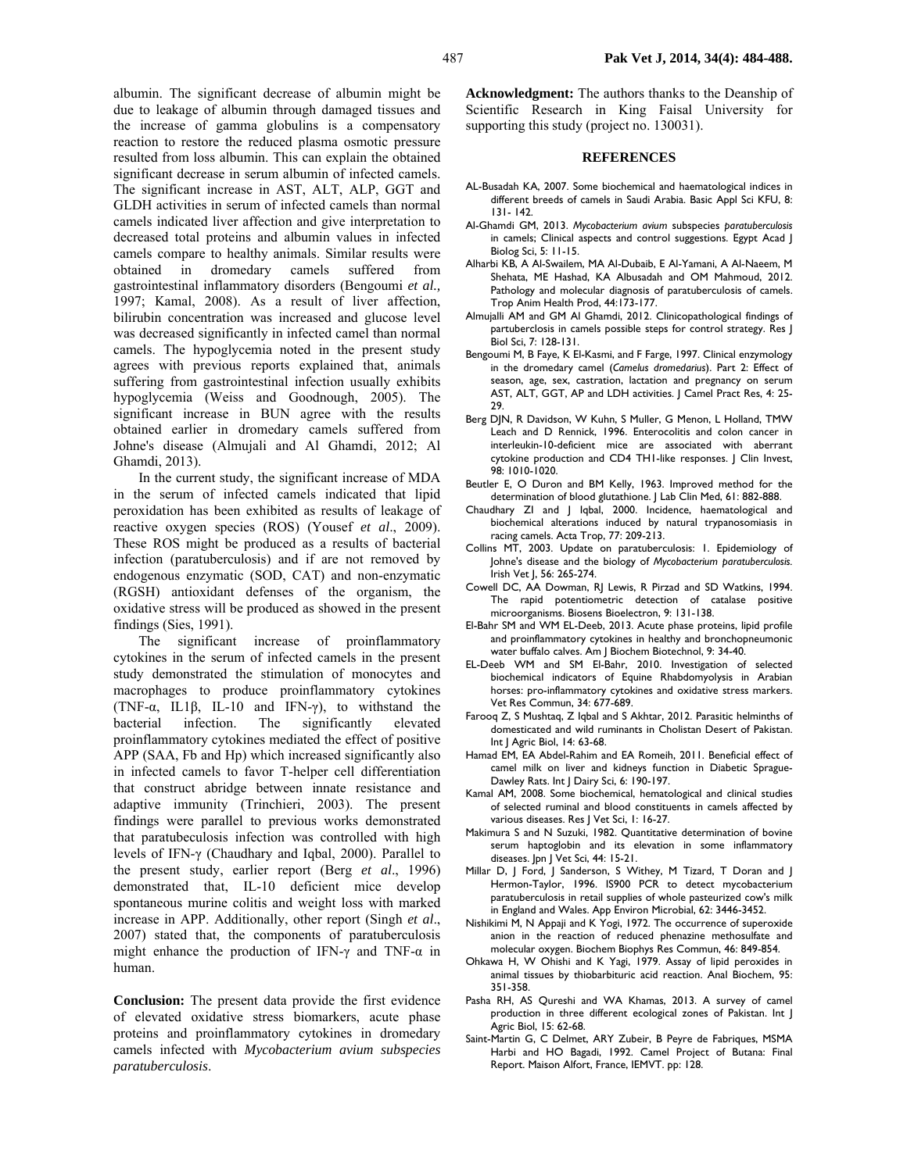albumin. The significant decrease of albumin might be due to leakage of albumin through damaged tissues and the increase of gamma globulins is a compensatory reaction to restore the reduced plasma osmotic pressure resulted from loss albumin. This can explain the obtained significant decrease in serum albumin of infected camels. The significant increase in AST, ALT, ALP, GGT and GLDH activities in serum of infected camels than normal camels indicated liver affection and give interpretation to decreased total proteins and albumin values in infected camels compare to healthy animals. Similar results were obtained in dromedary camels suffered from gastrointestinal inflammatory disorders (Bengoumi *et al.,*  1997; Kamal, 2008). As a result of liver affection, bilirubin concentration was increased and glucose level was decreased significantly in infected camel than normal camels. The hypoglycemia noted in the present study agrees with previous reports explained that, animals suffering from gastrointestinal infection usually exhibits hypoglycemia (Weiss and Goodnough, 2005). The significant increase in BUN agree with the results obtained earlier in dromedary camels suffered from Johne's disease (Almujali and Al Ghamdi, 2012; Al Ghamdi, 2013).

In the current study, the significant increase of MDA in the serum of infected camels indicated that lipid peroxidation has been exhibited as results of leakage of reactive oxygen species (ROS) (Yousef *et al*., 2009). These ROS might be produced as a results of bacterial infection (paratuberculosis) and if are not removed by endogenous enzymatic (SOD, CAT) and non-enzymatic (RGSH) antioxidant defenses of the organism, the oxidative stress will be produced as showed in the present findings (Sies, 1991).

The significant increase of proinflammatory cytokines in the serum of infected camels in the present study demonstrated the stimulation of monocytes and macrophages to produce proinflammatory cytokines (TNF-α, IL1β, IL-10 and IFN-γ), to withstand the bacterial infection. The significantly elevated proinflammatory cytokines mediated the effect of positive APP (SAA, Fb and Hp) which increased significantly also in infected camels to favor T-helper cell differentiation that construct abridge between innate resistance and adaptive immunity (Trinchieri, 2003). The present findings were parallel to previous works demonstrated that paratubeculosis infection was controlled with high levels of IFN-γ (Chaudhary and Iqbal, 2000). Parallel to the present study, earlier report (Berg *et al*., 1996) demonstrated that, IL-10 deficient mice develop spontaneous murine colitis and weight loss with marked increase in APP. Additionally, other report (Singh *et al*., 2007) stated that, the components of paratuberculosis might enhance the production of IFN-γ and TNF-α in human.

**Conclusion:** The present data provide the first evidence of elevated oxidative stress biomarkers, acute phase proteins and proinflammatory cytokines in dromedary camels infected with *Mycobacterium avium subspecies paratuberculosis*.

**Acknowledgment:** The authors thanks to the Deanship of Scientific Research in King Faisal University for supporting this study (project no. 130031).

# **REFERENCES**

- AL-Busadah KA, 2007. Some biochemical and haematological indices in different breeds of camels in Saudi Arabia. Basic Appl Sci KFU, 8: 131- 142.
- Al-Ghamdi GM, 2013. *Mycobacterium avium* subspecies *paratuberculosis*  in camels; Clinical aspects and control suggestions. Egypt Acad J Biolog Sci, 5: 11-15.
- Alharbi KB, A Al-Swailem, MA Al-Dubaib, E Al-Yamani, A Al-Naeem, M Shehata, ME Hashad, KA Albusadah and OM Mahmoud, 2012. Pathology and molecular diagnosis of paratuberculosis of camels. Trop Anim Health Prod, 44:173-177.
- Almujalli AM and GM Al Ghamdi, 2012. Clinicopathological findings of partuberclosis in camels possible steps for control strategy. Res J Biol Sci, 7: 128-131.
- Bengoumi M, B Faye, K El-Kasmi, and F Farge, 1997. Clinical enzymology in the dromedary camel (*Camelus dromedarius*). Part 2: Effect of season, age, sex, castration, lactation and pregnancy on serum AST, ALT, GGT, AP and LDH activities. | Camel Pract Res, 4: 25-29.
- Berg DJN, R Davidson, W Kuhn, S Muller, G Menon, L Holland, TMW Leach and D Rennick, 1996. Enterocolitis and colon cancer in interleukin-10-deficient mice are associated with aberrant cytokine production and CD4 TH1-like responses. J Clin Invest, 98: 1010-1020.
- Beutler E, O Duron and BM Kelly, 1963. Improved method for the determination of blood glutathione. J Lab Clin Med, 61: 882-888.
- Chaudhary ZI and J Iqbal, 2000. Incidence, haematological and biochemical alterations induced by natural trypanosomiasis in racing camels. Acta Trop, 77: 209-213.
- Collins MT, 2003. Update on paratuberculosis: 1. Epidemiology of Johne's disease and the biology of *Mycobacterium paratuberculosis.*  Irish Vet J, 56: 265-274.
- Cowell DC, AA Dowman, RJ Lewis, R Pirzad and SD Watkins, 1994. The rapid potentiometric detection of catalase positive microorganisms. Biosens Bioelectron, 9: 131-138.
- El-Bahr SM and WM EL-Deeb, 2013. Acute phase proteins, lipid profile and proinflammatory cytokines in healthy and bronchopneumonic water buffalo calves. Am J Biochem Biotechnol, 9: 34-40.
- EL-Deeb WM and SM El-Bahr, 2010. Investigation of selected biochemical indicators of Equine Rhabdomyolysis in Arabian horses: pro-inflammatory cytokines and oxidative stress markers. Vet Res Commun, 34: 677-689.
- Farooq Z, S Mushtaq, Z Iqbal and S Akhtar, 2012. Parasitic helminths of domesticated and wild ruminants in Cholistan Desert of Pakistan. Int J Agric Biol, 14: 63-68.
- Hamad EM, EA Abdel-Rahim and EA Romeih, 2011. Beneficial effect of camel milk on liver and kidneys function in Diabetic Sprague-Dawley Rats. Int J Dairy Sci, 6: 190-197.
- Kamal AM, 2008. Some biochemical, hematological and clinical studies of selected ruminal and blood constituents in camels affected by various diseases. Res J Vet Sci, 1: 16-27.
- Makimura S and N Suzuki, 1982. Quantitative determination of bovine serum haptoglobin and its elevation in some inflammatory diseases. Jpn J Vet Sci, 44: 15-21.
- Millar D, J Ford, J Sanderson, S Withey, M Tizard, T Doran and J Hermon-Taylor, 1996. IS900 PCR to detect mycobacterium paratuberculosis in retail supplies of whole pasteurized cow's milk in England and Wales. App Environ Microbial, 62: 3446-3452.
- Nishikimi M, N Appaji and K Yogi, 1972. The occurrence of superoxide anion in the reaction of reduced phenazine methosulfate and molecular oxygen. Biochem Biophys Res Commun, 46: 849-854.
- Ohkawa H, W Ohishi and K Yagi, 1979. Assay of lipid peroxides in animal tissues by thiobarbituric acid reaction. Anal Biochem, 95: 351-358.
- Pasha RH, AS Qureshi and WA Khamas, 2013. A survey of camel production in three different ecological zones of Pakistan. Int J Agric Biol, 15: 62-68.
- Saint-Martin G, C Delmet, ARY Zubeir, B Peyre de Fabriques, MSMA Harbi and HO Bagadi, 1992. Camel Project of Butana: Final Report. Maison Alfort, France, IEMVT. pp: 128.